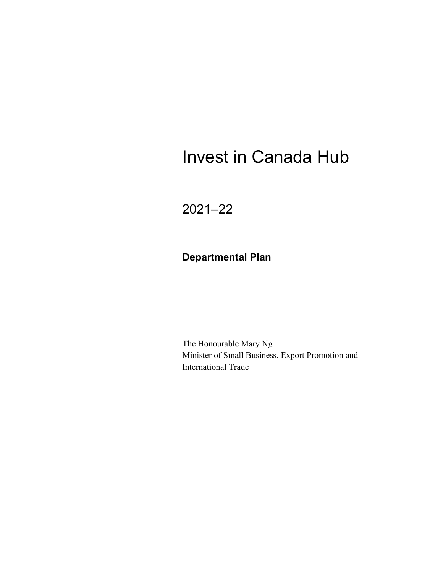# Invest in Canada Hub

2021–22

**Departmental Plan**

The Honourable Mary Ng Minister of Small Business, Export Promotion and International Trade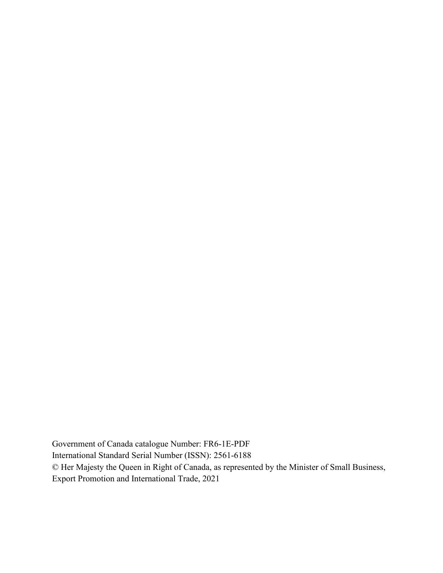Government of Canada catalogue Number: FR6-1E-PDF International Standard Serial Number (ISSN): 2561-6188 © Her Majesty the Queen in Right of Canada, as represented by the Minister of Small Business, Export Promotion and International Trade, 2021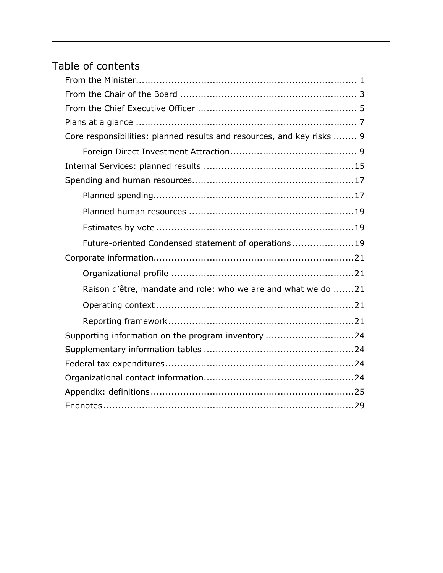## Table of contents

| Core responsibilities: planned results and resources, and key risks  9 |
|------------------------------------------------------------------------|
|                                                                        |
|                                                                        |
|                                                                        |
|                                                                        |
|                                                                        |
|                                                                        |
| Future-oriented Condensed statement of operations19                    |
|                                                                        |
|                                                                        |
| Raison d'être, mandate and role: who we are and what we do 21          |
|                                                                        |
|                                                                        |
| Supporting information on the program inventory 24                     |
|                                                                        |
|                                                                        |
|                                                                        |
|                                                                        |
|                                                                        |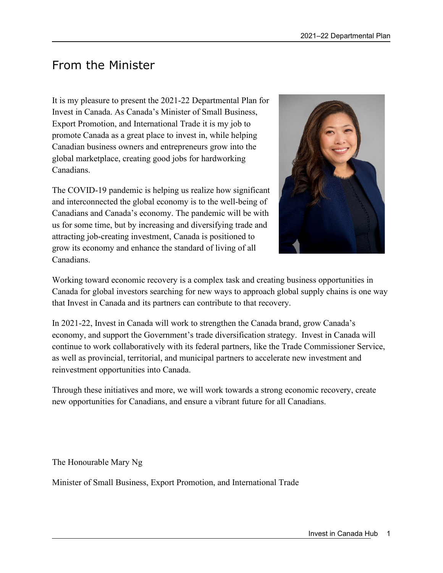## <span id="page-4-0"></span>From the Minister

It is my pleasure to present the 2021-22 Departmental Plan for Invest in Canada. As Canada's Minister of Small Business, Export Promotion, and International Trade it is my job to promote Canada as a great place to invest in, while helping Canadian business owners and entrepreneurs grow into the global marketplace, creating good jobs for hardworking Canadians.

The COVID-19 pandemic is helping us realize how significant and interconnected the global economy is to the well-being of Canadians and Canada's economy. The pandemic will be with us for some time, but by increasing and diversifying trade and attracting job-creating investment, Canada is positioned to grow its economy and enhance the standard of living of all Canadians.



Working toward economic recovery is a complex task and creating business opportunities in Canada for global investors searching for new ways to approach global supply chains is one way that Invest in Canada and its partners can contribute to that recovery.

In 2021-22, Invest in Canada will work to strengthen the Canada brand, grow Canada's economy, and support the Government's trade diversification strategy. Invest in Canada will continue to work collaboratively with its federal partners, like the Trade Commissioner Service, as well as provincial, territorial, and municipal partners to accelerate new investment and reinvestment opportunities into Canada.

Through these initiatives and more, we will work towards a strong economic recovery, create new opportunities for Canadians, and ensure a vibrant future for all Canadians.

The Honourable Mary Ng

Minister of Small Business, Export Promotion, and International Trade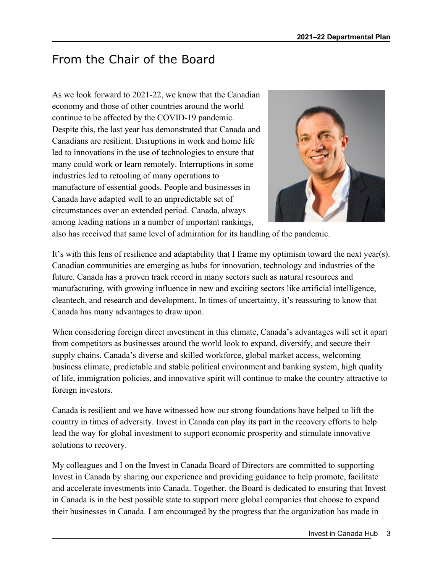## <span id="page-6-0"></span>From the Chair of the Board

As we look forward to 2021-22, we know that the Canadian economy and those of other countries around the world continue to be affected by the COVID-19 pandemic. Despite this, the last year has demonstrated that Canada and Canadians are resilient. Disruptions in work and home life led to innovations in the use of technologies to ensure that many could work or learn remotely. Interruptions in some industries led to retooling of many operations to manufacture of essential goods. People and businesses in Canada have adapted well to an unpredictable set of circumstances over an extended period. Canada, always among leading nations in a number of important rankings,



also has received that same level of admiration for its handling of the pandemic.

It's with this lens of resilience and adaptability that I frame my optimism toward the next year(s). Canadian communities are emerging as hubs for innovation, technology and industries of the future. Canada has a proven track record in many sectors such as natural resources and manufacturing, with growing influence in new and exciting sectors like artificial intelligence, cleantech, and research and development. In times of uncertainty, it's reassuring to know that Canada has many advantages to draw upon.

When considering foreign direct investment in this climate, Canada's advantages will set it apart from competitors as businesses around the world look to expand, diversify, and secure their supply chains. Canada's diverse and skilled workforce, global market access, welcoming business climate, predictable and stable political environment and banking system, high quality of life, immigration policies, and innovative spirit will continue to make the country attractive to foreign investors.

Canada is resilient and we have witnessed how our strong foundations have helped to lift the country in times of adversity. Invest in Canada can play its part in the recovery efforts to help lead the way for global investment to support economic prosperity and stimulate innovative solutions to recovery.

My colleagues and I on the Invest in Canada Board of Directors are committed to supporting Invest in Canada by sharing our experience and providing guidance to help promote, facilitate and accelerate investments into Canada. Together, the Board is dedicated to ensuring that Invest in Canada is in the best possible state to support more global companies that choose to expand their businesses in Canada. I am encouraged by the progress that the organization has made in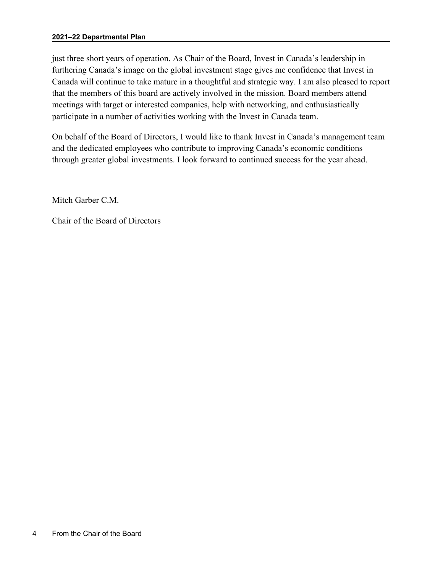#### **2021–22 Departmental Plan**

just three short years of operation. As Chair of the Board, Invest in Canada's leadership in furthering Canada's image on the global investment stage gives me confidence that Invest in Canada will continue to take mature in a thoughtful and strategic way. I am also pleased to report that the members of this board are actively involved in the mission. Board members attend meetings with target or interested companies, help with networking, and enthusiastically participate in a number of activities working with the Invest in Canada team.

On behalf of the Board of Directors, I would like to thank Invest in Canada's management team and the dedicated employees who contribute to improving Canada's economic conditions through greater global investments. I look forward to continued success for the year ahead.

Mitch Garber C.M.

Chair of the Board of Directors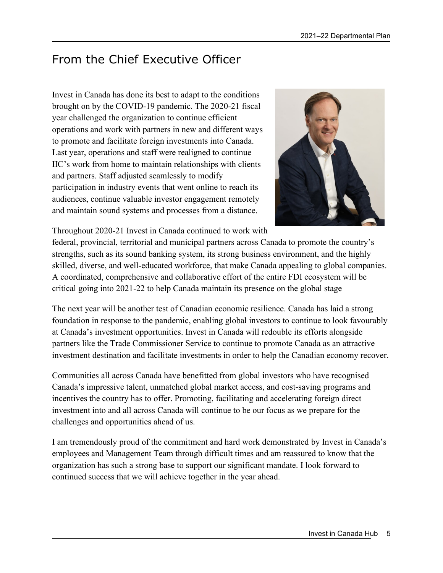## <span id="page-8-0"></span>From the Chief Executive Officer

Invest in Canada has done its best to adapt to the conditions brought on by the COVID-19 pandemic. The 2020-21 fiscal year challenged the organization to continue efficient operations and work with partners in new and different ways to promote and facilitate foreign investments into Canada. Last year, operations and staff were realigned to continue IIC's work from home to maintain relationships with clients and partners. Staff adjusted seamlessly to modify participation in industry events that went online to reach its audiences, continue valuable investor engagement remotely and maintain sound systems and processes from a distance.



Throughout 2020-21 Invest in Canada continued to work with

federal, provincial, territorial and municipal partners across Canada to promote the country's strengths, such as its sound banking system, its strong business environment, and the highly skilled, diverse, and well-educated workforce, that make Canada appealing to global companies. A coordinated, comprehensive and collaborative effort of the entire FDI ecosystem will be critical going into 2021-22 to help Canada maintain its presence on the global stage

The next year will be another test of Canadian economic resilience. Canada has laid a strong foundation in response to the pandemic, enabling global investors to continue to look favourably at Canada's investment opportunities. Invest in Canada will redouble its efforts alongside partners like the Trade Commissioner Service to continue to promote Canada as an attractive investment destination and facilitate investments in order to help the Canadian economy recover.

Communities all across Canada have benefitted from global investors who have recognised Canada's impressive talent, unmatched global market access, and cost-saving programs and incentives the country has to offer. Promoting, facilitating and accelerating foreign direct investment into and all across Canada will continue to be our focus as we prepare for the challenges and opportunities ahead of us.

I am tremendously proud of the commitment and hard work demonstrated by Invest in Canada's employees and Management Team through difficult times and am reassured to know that the organization has such a strong base to support our significant mandate. I look forward to continued success that we will achieve together in the year ahead.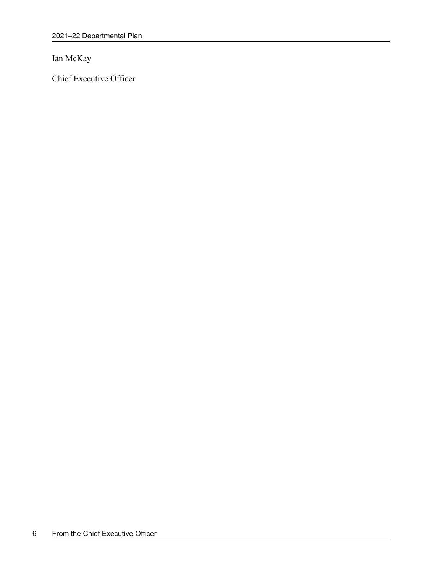Ian McKay

Chief Executive Officer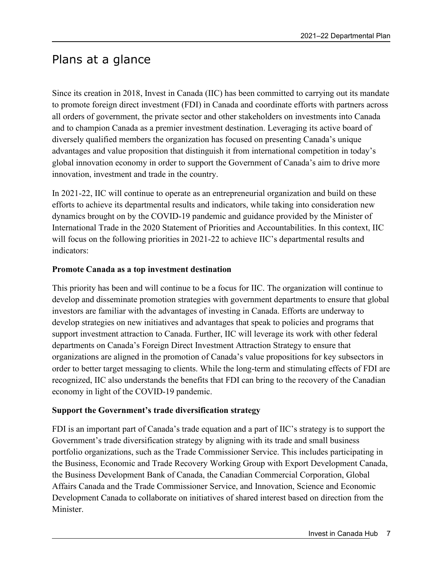## <span id="page-10-0"></span>Plans at a glance

Since its creation in 2018, Invest in Canada (IIC) has been committed to carrying out its mandate to promote foreign direct investment (FDI) in Canada and coordinate efforts with partners across all orders of government, the private sector and other stakeholders on investments into Canada and to champion Canada as a premier investment destination. Leveraging its active board of diversely qualified members the organization has focused on presenting Canada's unique advantages and value proposition that distinguish it from international competition in today's global innovation economy in order to support the Government of Canada's aim to drive more innovation, investment and trade in the country.

In 2021-22, IIC will continue to operate as an entrepreneurial organization and build on these efforts to achieve its departmental results and indicators, while taking into consideration new dynamics brought on by the COVID-19 pandemic and guidance provided by the Minister of International Trade in the 2020 Statement of Priorities and Accountabilities. In this context, IIC will focus on the following priorities in 2021-22 to achieve IIC's departmental results and indicators:

### **Promote Canada as a top investment destination**

This priority has been and will continue to be a focus for IIC. The organization will continue to develop and disseminate promotion strategies with government departments to ensure that global investors are familiar with the advantages of investing in Canada. Efforts are underway to develop strategies on new initiatives and advantages that speak to policies and programs that support investment attraction to Canada. Further, IIC will leverage its work with other federal departments on Canada's Foreign Direct Investment Attraction Strategy to ensure that organizations are aligned in the promotion of Canada's value propositions for key subsectors in order to better target messaging to clients. While the long-term and stimulating effects of FDI are recognized, IIC also understands the benefits that FDI can bring to the recovery of the Canadian economy in light of the COVID-19 pandemic.

### **Support the Government's trade diversification strategy**

FDI is an important part of Canada's trade equation and a part of IIC's strategy is to support the Government's trade diversification strategy by aligning with its trade and small business portfolio organizations, such as the Trade Commissioner Service. This includes participating in the Business, Economic and Trade Recovery Working Group with Export Development Canada, the Business Development Bank of Canada, the Canadian Commercial Corporation, Global Affairs Canada and the Trade Commissioner Service, and Innovation, Science and Economic Development Canada to collaborate on initiatives of shared interest based on direction from the Minister.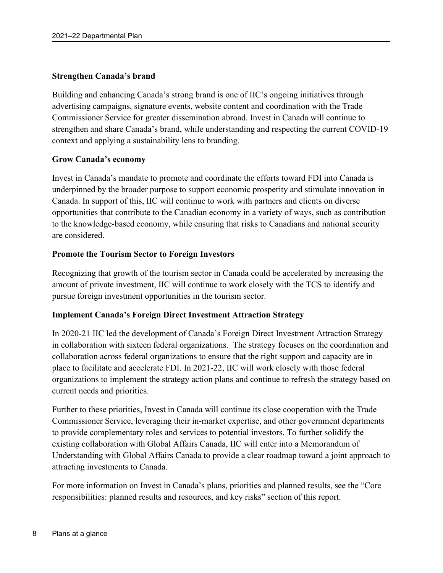### **Strengthen Canada's brand**

Building and enhancing Canada's strong brand is one of IIC's ongoing initiatives through advertising campaigns, signature events, website content and coordination with the Trade Commissioner Service for greater dissemination abroad. Invest in Canada will continue to strengthen and share Canada's brand, while understanding and respecting the current COVID-19 context and applying a sustainability lens to branding.

### **Grow Canada's economy**

Invest in Canada's mandate to promote and coordinate the efforts toward FDI into Canada is underpinned by the broader purpose to support economic prosperity and stimulate innovation in Canada. In support of this, IIC will continue to work with partners and clients on diverse opportunities that contribute to the Canadian economy in a variety of ways, such as contribution to the knowledge-based economy, while ensuring that risks to Canadians and national security are considered.

### **Promote the Tourism Sector to Foreign Investors**

Recognizing that growth of the tourism sector in Canada could be accelerated by increasing the amount of private investment, IIC will continue to work closely with the TCS to identify and pursue foreign investment opportunities in the tourism sector.

### **Implement Canada's Foreign Direct Investment Attraction Strategy**

In 2020-21 IIC led the development of Canada's Foreign Direct Investment Attraction Strategy in collaboration with sixteen federal organizations. The strategy focuses on the coordination and collaboration across federal organizations to ensure that the right support and capacity are in place to facilitate and accelerate FDI. In 2021-22, IIC will work closely with those federal organizations to implement the strategy action plans and continue to refresh the strategy based on current needs and priorities.

Further to these priorities, Invest in Canada will continue its close cooperation with the Trade Commissioner Service, leveraging their in-market expertise, and other government departments to provide complementary roles and services to potential investors. To further solidify the existing collaboration with Global Affairs Canada, IIC will enter into a Memorandum of Understanding with Global Affairs Canada to provide a clear roadmap toward a joint approach to attracting investments to Canada.

For more information on Invest in Canada's plans, priorities and planned results, see the "Core responsibilities: planned results and resources, and key risks" section of this report.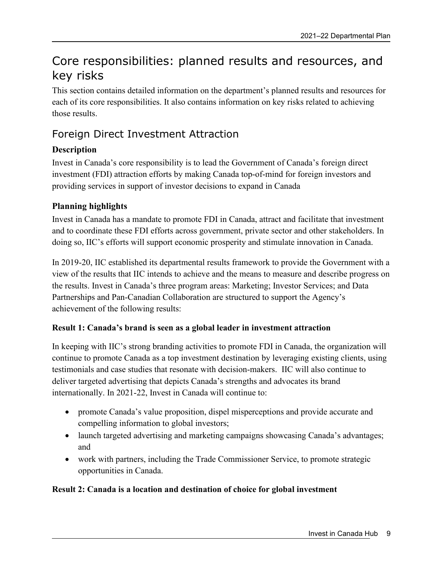## <span id="page-12-0"></span>Core responsibilities: planned results and resources, and key risks

This section contains detailed information on the department's planned results and resources for each of its core responsibilities. It also contains information on key risks related to achieving those results.

### <span id="page-12-1"></span>Foreign Direct Investment Attraction

### **Description**

Invest in Canada's core responsibility is to lead the Government of Canada's foreign direct investment (FDI) attraction efforts by making Canada top-of-mind for foreign investors and providing services in support of investor decisions to expand in Canada

### **Planning highlights**

Invest in Canada has a mandate to promote FDI in Canada, attract and facilitate that investment and to coordinate these FDI efforts across government, private sector and other stakeholders. In doing so, IIC's efforts will support economic prosperity and stimulate innovation in Canada.

In 2019-20, IIC established its departmental results framework to provide the Government with a view of the results that IIC intends to achieve and the means to measure and describe progress on the results. Invest in Canada's three program areas: Marketing; Investor Services; and Data Partnerships and Pan-Canadian Collaboration are structured to support the Agency's achievement of the following results:

### **Result 1: Canada's brand is seen as a global leader in investment attraction**

In keeping with IIC's strong branding activities to promote FDI in Canada, the organization will continue to promote Canada as a top investment destination by leveraging existing clients, using testimonials and case studies that resonate with decision-makers. IIC will also continue to deliver targeted advertising that depicts Canada's strengths and advocates its brand internationally. In 2021-22, Invest in Canada will continue to:

- promote Canada's value proposition, dispel misperceptions and provide accurate and compelling information to global investors;
- launch targeted advertising and marketing campaigns showcasing Canada's advantages; and
- work with partners, including the Trade Commissioner Service, to promote strategic opportunities in Canada.

### **Result 2: Canada is a location and destination of choice for global investment**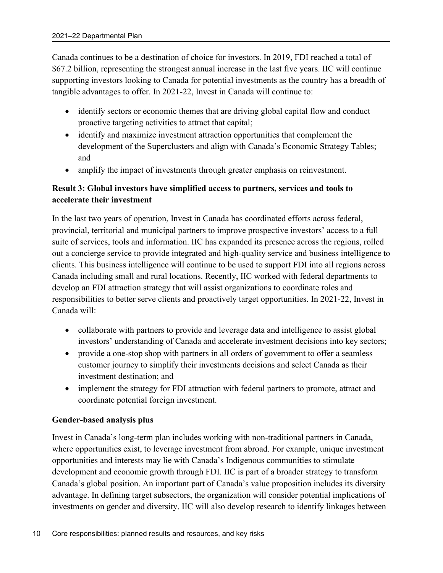Canada continues to be a destination of choice for investors. In 2019, FDI reached a total of \$67.2 billion, representing the strongest annual increase in the last five years. IIC will continue supporting investors looking to Canada for potential investments as the country has a breadth of tangible advantages to offer. In 2021-22, Invest in Canada will continue to:

- identify sectors or economic themes that are driving global capital flow and conduct proactive targeting activities to attract that capital;
- identify and maximize investment attraction opportunities that complement the development of the Superclusters and align with Canada's Economic Strategy Tables; and
- amplify the impact of investments through greater emphasis on reinvestment.

### **Result 3: Global investors have simplified access to partners, services and tools to accelerate their investment**

In the last two years of operation, Invest in Canada has coordinated efforts across federal, provincial, territorial and municipal partners to improve prospective investors' access to a full suite of services, tools and information. IIC has expanded its presence across the regions, rolled out a concierge service to provide integrated and high-quality service and business intelligence to clients. This business intelligence will continue to be used to support FDI into all regions across Canada including small and rural locations. Recently, IIC worked with federal departments to develop an FDI attraction strategy that will assist organizations to coordinate roles and responsibilities to better serve clients and proactively target opportunities. In 2021-22, Invest in Canada will:

- collaborate with partners to provide and leverage data and intelligence to assist global investors' understanding of Canada and accelerate investment decisions into key sectors;
- provide a one-stop shop with partners in all orders of government to offer a seamless customer journey to simplify their investments decisions and select Canada as their investment destination; and
- implement the strategy for FDI attraction with federal partners to promote, attract and coordinate potential foreign investment.

### **Gender-based analysis plus**

Invest in Canada's long-term plan includes working with non-traditional partners in Canada, where opportunities exist, to leverage investment from abroad. For example, unique investment opportunities and interests may lie with Canada's Indigenous communities to stimulate development and economic growth through FDI. IIC is part of a broader strategy to transform Canada's global position. An important part of Canada's value proposition includes its diversity advantage. In defining target subsectors, the organization will consider potential implications of investments on gender and diversity. IIC will also develop research to identify linkages between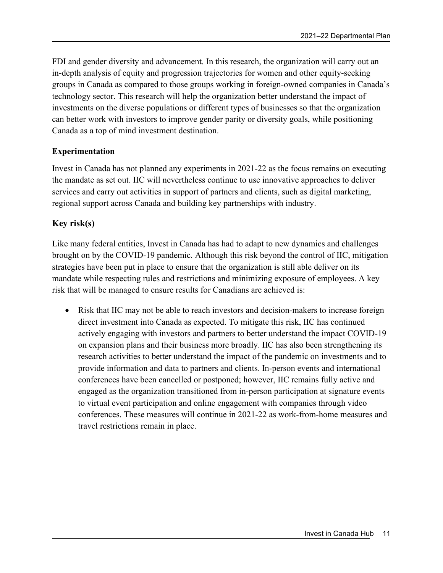FDI and gender diversity and advancement. In this research, the organization will carry out an in-depth analysis of equity and progression trajectories for women and other equity-seeking groups in Canada as compared to those groups working in foreign-owned companies in Canada's technology sector. This research will help the organization better understand the impact of investments on the diverse populations or different types of businesses so that the organization can better work with investors to improve gender parity or diversity goals, while positioning Canada as a top of mind investment destination.

### **Experimentation**

Invest in Canada has not planned any experiments in 2021-22 as the focus remains on executing the mandate as set out. IIC will nevertheless continue to use innovative approaches to deliver services and carry out activities in support of partners and clients, such as digital marketing, regional support across Canada and building key partnerships with industry.

### **Key risk(s)**

Like many federal entities, Invest in Canada has had to adapt to new dynamics and challenges brought on by the COVID-19 pandemic. Although this risk beyond the control of IIC, mitigation strategies have been put in place to ensure that the organization is still able deliver on its mandate while respecting rules and restrictions and minimizing exposure of employees. A key risk that will be managed to ensure results for Canadians are achieved is:

• Risk that IIC may not be able to reach investors and decision-makers to increase foreign direct investment into Canada as expected. To mitigate this risk, IIC has continued actively engaging with investors and partners to better understand the impact COVID-19 on expansion plans and their business more broadly. IIC has also been strengthening its research activities to better understand the impact of the pandemic on investments and to provide information and data to partners and clients. In-person events and international conferences have been cancelled or postponed; however, IIC remains fully active and engaged as the organization transitioned from in-person participation at signature events to virtual event participation and online engagement with companies through video conferences. These measures will continue in 2021-22 as work-from-home measures and travel restrictions remain in place.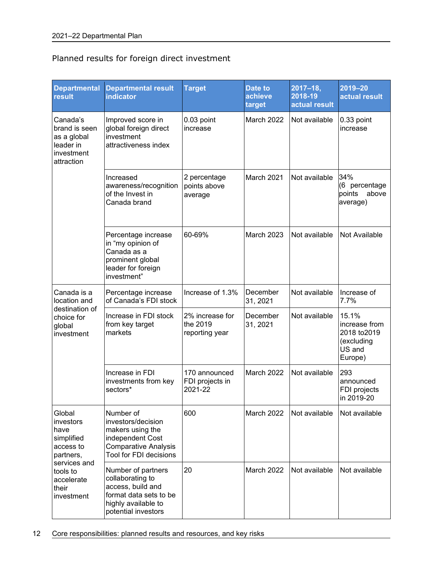### Planned results for foreign direct investment

| <b>Departmental</b><br>result                                                     | <b>Departmental result</b><br><b>indicator</b>                                                                                          | <b>Target</b>                                 | <b>Date to</b><br>achieve<br>target | $2017 - 18$ ,<br>2018-19<br>actual result | 2019-20<br>actual result                                                  |
|-----------------------------------------------------------------------------------|-----------------------------------------------------------------------------------------------------------------------------------------|-----------------------------------------------|-------------------------------------|-------------------------------------------|---------------------------------------------------------------------------|
| Canada's<br>brand is seen<br>as a global<br>leader in<br>investment<br>attraction | Improved score in<br>global foreign direct<br>investment<br>attractiveness index                                                        | 0.03 point<br>increase                        | March 2022                          | Not available                             | 0.33 point<br>increase                                                    |
|                                                                                   | Increased<br>awareness/recognition<br>of the Invest in<br>Canada brand                                                                  | 2 percentage<br>points above<br>average       | March 2021                          | Not available                             | 34%<br>(6 percentage<br>points<br>above<br>average)                       |
|                                                                                   | Percentage increase<br>in "my opinion of<br>Canada as a<br>prominent global<br>leader for foreign<br>investment"                        | 60-69%                                        | March 2023                          | Not available                             | Not Available                                                             |
| Canada is a<br>location and                                                       | Percentage increase<br>of Canada's FDI stock                                                                                            | Increase of 1.3%                              | December<br>31, 2021                | Not available                             | Increase of<br>7.7%                                                       |
| destination of<br>choice for<br>global<br>investment                              | Increase in FDI stock<br>from key target<br>markets                                                                                     | 2% increase for<br>the 2019<br>reporting year | December<br>31, 2021                | Not available                             | 15.1%<br>increase from<br>2018 to 2019<br>(excluding<br>US and<br>Europe) |
|                                                                                   | Increase in FDI<br>investments from key<br>sectors*                                                                                     | 170 announced<br>FDI projects in<br>2021-22   | March 2022                          | Not available                             | 293<br>announced<br>FDI projects<br>in 2019-20                            |
| Global<br>investors<br>have<br>simplified<br>access to<br>partners,               | Number of<br>investors/decision<br>makers using the<br>independent Cost<br><b>Comparative Analysis</b><br><b>Tool for FDI decisions</b> | 600                                           | March 2022                          | Not available                             | Not available                                                             |
| services and<br>tools to<br>accelerate<br>their<br>investment                     | Number of partners<br>collaborating to<br>access, build and<br>format data sets to be<br>highly available to<br>potential investors     | 20                                            | March 2022                          | Not available                             | Not available                                                             |

12 Core responsibilities: planned results and resources, and key risks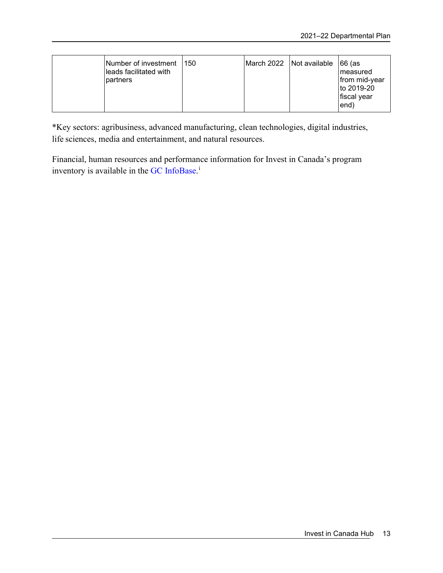| lNumber of investment_<br>leads facilitated with<br>partners | 150 |  | March 2022 Not available | ∃66 (as<br>Imeasured<br>from mid-year<br>to 2019-20<br>fiscal year<br>end) |
|--------------------------------------------------------------|-----|--|--------------------------|----------------------------------------------------------------------------|
|--------------------------------------------------------------|-----|--|--------------------------|----------------------------------------------------------------------------|

\*Key sectors: agribusiness, advanced manufacturing, clean technologies, digital industries, life sciences, media and entertainment, and natural resources.

Financial, human resources and performance information for Invest in Canada's program inventory is available in the GC [InfoBase.](https://www.tbs-sct.gc.ca/ems-sgd/edb-bdd/index-eng.html)<sup>1</sup>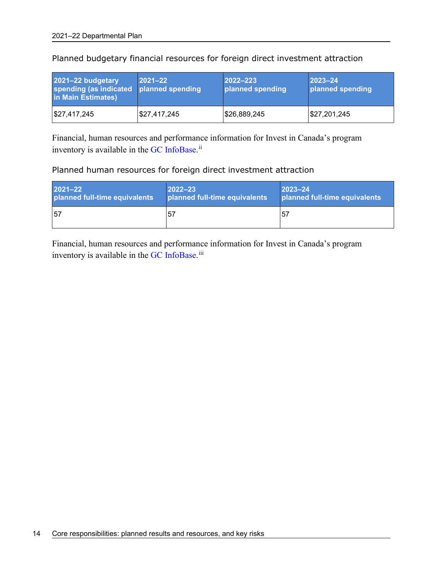| 2021-22 budgetary<br>spending (as indicated planned spending<br>in Main Estimates) | $2021 - 22$  | $ 2022 - 223 $<br>planned spending | $2023 - 24$<br>planned spending |
|------------------------------------------------------------------------------------|--------------|------------------------------------|---------------------------------|
| $\frac{1}{2}$ 27,417,245                                                           | \$27,417,245 | \$26,889,245                       | $\frac{1}{2}$ \$27,201,245      |

Planned budgetary financial resources for foreign direct investment attraction

Financial, human resources and performance information for Invest in Canada's program inventory is available in the GC [InfoBase.](https://www.tbs-sct.gc.ca/ems-sgd/edb-bdd/index-eng.html)<sup>[ii](#page-32-2)</sup>

### Planned human resources for foreign direct investment attraction

| $2021 - 22$                   | $ 2022 - 23 $                 | $2023 - 24$                   |
|-------------------------------|-------------------------------|-------------------------------|
| planned full-time equivalents | planned full-time equivalents | planned full-time equivalents |
| 57                            | .57                           | .57                           |

Financial, human resources and performance information for Invest in Canada's program inventory is available in the GC [InfoBase.](https://www.tbs-sct.gc.ca/ems-sgd/edb-bdd/index-eng.html)<sup>[iii](#page-32-3)</sup>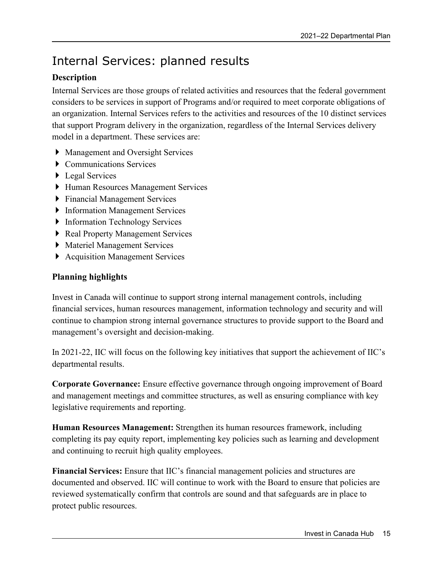## <span id="page-18-0"></span>Internal Services: planned results

### **Description**

Internal Services are those groups of related activities and resources that the federal government considers to be services in support of Programs and/or required to meet corporate obligations of an organization. Internal Services refers to the activities and resources of the 10 distinct services that support Program delivery in the organization, regardless of the Internal Services delivery model in a department. These services are:

- Management and Oversight Services
- ▶ Communications Services
- ▶ Legal Services
- Human Resources Management Services
- Financial Management Services
- ▶ Information Management Services
- **Information Technology Services**
- ▶ Real Property Management Services
- Materiel Management Services
- ▶ Acquisition Management Services

### **Planning highlights**

Invest in Canada will continue to support strong internal management controls, including financial services, human resources management, information technology and security and will continue to champion strong internal governance structures to provide support to the Board and management's oversight and decision-making.

In 2021-22, IIC will focus on the following key initiatives that support the achievement of IIC's departmental results.

**Corporate Governance:** Ensure effective governance through ongoing improvement of Board and management meetings and committee structures, as well as ensuring compliance with key legislative requirements and reporting.

**Human Resources Management:** Strengthen its human resources framework, including completing its pay equity report, implementing key policies such as learning and development and continuing to recruit high quality employees.

**Financial Services:** Ensure that IIC's financial management policies and structures are documented and observed. IIC will continue to work with the Board to ensure that policies are reviewed systematically confirm that controls are sound and that safeguards are in place to protect public resources.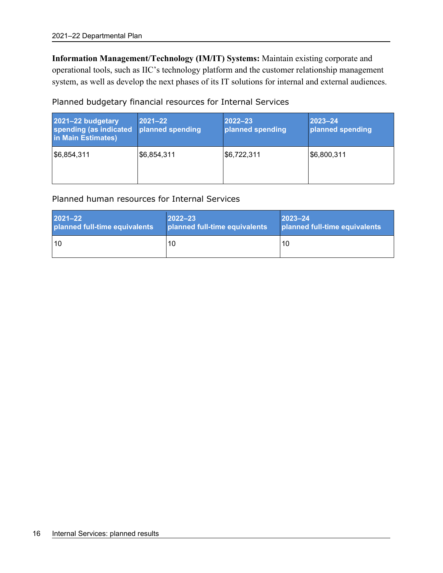**Information Management/Technology (IM/IT) Systems:** Maintain existing corporate and operational tools, such as IIC's technology platform and the customer relationship management system, as well as develop the next phases of its IT solutions for internal and external audiences.

Planned budgetary financial resources for Internal Services

| 2021-22 budgetary<br>spending (as indicated<br>in Main Estimates) | $2021 - 22$<br>planned spending | $2022 - 23$<br>planned spending | $2023 - 24$<br>planned spending |
|-------------------------------------------------------------------|---------------------------------|---------------------------------|---------------------------------|
| \$6,854,311                                                       | \$6,854,311                     | \$6,722,311                     | \$6,800,311                     |

Planned human resources for Internal Services

| $2021 - 22$                   | $ 2022 - 23 $                 | $2023 - 24$                   |
|-------------------------------|-------------------------------|-------------------------------|
| planned full-time equivalents | planned full-time equivalents | planned full-time equivalents |
| l 10                          | 10                            | 10                            |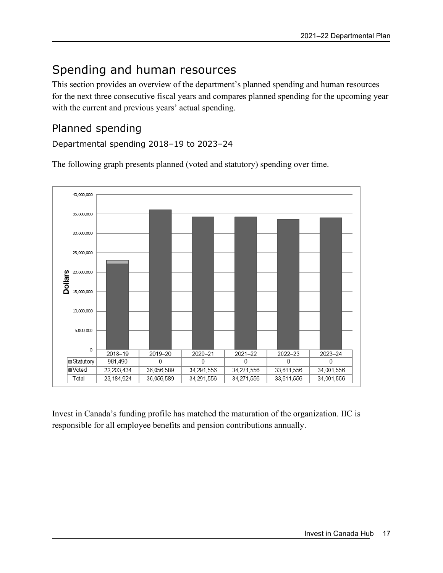## <span id="page-20-0"></span>Spending and human resources

This section provides an overview of the department's planned spending and human resources for the next three consecutive fiscal years and compares planned spending for the upcoming year with the current and previous years' actual spending.

### <span id="page-20-1"></span>Planned spending

Departmental spending 2018–19 to 2023–24

The following graph presents planned (voted and statutory) spending over time.



Invest in Canada's funding profile has matched the maturation of the organization. IIC is responsible for all employee benefits and pension contributions annually.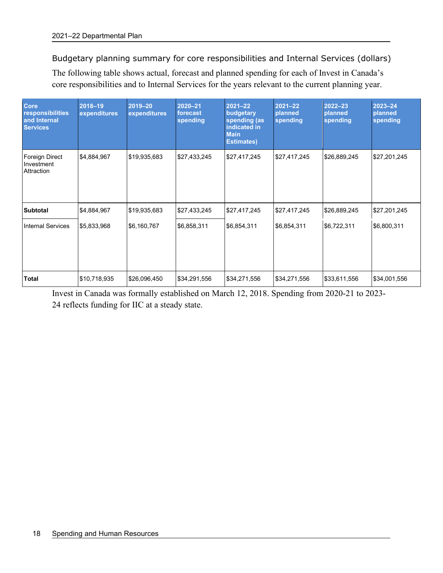Budgetary planning summary for core responsibilities and Internal Services (dollars)

The following table shows actual, forecast and planned spending for each of Invest in Canada's core responsibilities and to Internal Services for the years relevant to the current planning year.

| <b>Core</b><br>responsibilities<br>and Internal<br><b>Services</b> | 2018-19<br>expenditures | 2019-20<br>expenditures | $2020 - 21$<br>forecast<br>spending | $2021 - 22$<br>budgetary<br>spending (as<br>indicated in<br><b>Main</b><br><b>Estimates)</b> | $2021 - 22$<br>planned<br>spending | $2022 - 23$<br>planned<br>spending | $2023 - 24$<br>planned<br>spending |
|--------------------------------------------------------------------|-------------------------|-------------------------|-------------------------------------|----------------------------------------------------------------------------------------------|------------------------------------|------------------------------------|------------------------------------|
| Foreign Direct<br>Investment<br>Attraction                         | \$4,884,967             | \$19,935,683            | \$27,433,245                        | \$27,417,245                                                                                 | \$27,417,245                       | \$26,889,245                       | \$27,201,245                       |
| <b>Subtotal</b>                                                    | \$4,884,967             | \$19,935,683            | \$27,433,245                        | \$27,417,245                                                                                 | \$27,417,245                       | \$26,889,245                       | \$27,201,245                       |
| <b>Internal Services</b>                                           | \$5,833,968             | \$6,160,767             | \$6,858,311                         | \$6,854,311                                                                                  | \$6,854,311                        | \$6,722,311                        | \$6,800,311                        |
| Total                                                              | \$10,718,935            | \$26,096,450            | \$34,291,556                        | \$34,271,556                                                                                 | \$34,271,556                       | \$33,611,556                       | \$34,001,556                       |

Invest in Canada was formally established on March 12, 2018. Spending from 2020-21 to 2023- 24 reflects funding for IIC at a steady state.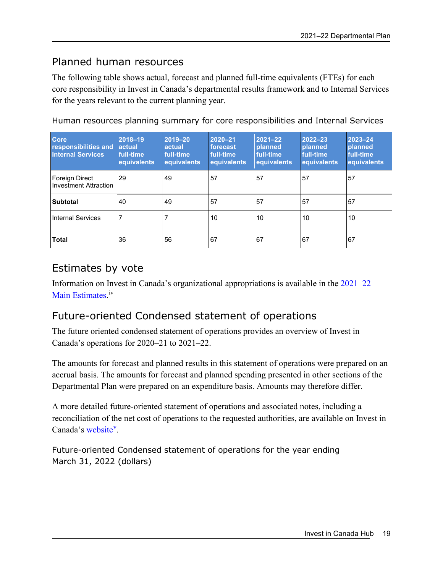### <span id="page-22-0"></span>Planned human resources

The following table shows actual, forecast and planned full-time equivalents (FTEs) for each core responsibility in Invest in Canada's departmental results framework and to Internal Services for the years relevant to the current planning year.

| <b>Core</b><br>responsibilities and<br><b>Internal Services</b> | $2018 - 19$<br>actual <sup>'</sup><br>full-time.<br>equivalents | 2019-20<br>actual<br>full-time<br>equivalents | $2020 - 21$<br>forecast<br>full-time<br>equivalents | $2021 - 22$<br>planned<br>full-time<br>equivalents | $2022 - 23$<br>planned<br>full-time<br>equivalents | 2023-24<br>planned<br>full-time<br>equivalents |
|-----------------------------------------------------------------|-----------------------------------------------------------------|-----------------------------------------------|-----------------------------------------------------|----------------------------------------------------|----------------------------------------------------|------------------------------------------------|
| Foreign Direct<br>Investment Attraction                         | 29                                                              | 49                                            | 57                                                  | 57                                                 | 57                                                 | 57                                             |
| <b>Subtotal</b>                                                 | 40                                                              | 49                                            | 57                                                  | 57                                                 | 57                                                 | 57                                             |
| <b>Internal Services</b>                                        |                                                                 |                                               | 10                                                  | 10                                                 | 10                                                 | 10                                             |
| <b>Total</b>                                                    | 36                                                              | 56                                            | 67                                                  | 67                                                 | 67                                                 | 67                                             |

Human resources planning summary for core responsibilities and Internal Services

### <span id="page-22-1"></span>Estimates by vote

Information on Invest in Canada's organizational appropriations is available in the [2021–22](http://www.tbs-sct.gc.ca/hgw-cgf/finances/pgs-pdg/gepme-pdgbpd/index-eng.asp)  [Main Estimates](http://www.tbs-sct.gc.ca/hgw-cgf/finances/pgs-pdg/gepme-pdgbpd/index-eng.asp)[.](http://www.tpsgc-pwgsc.gc.ca/recgen/cpc-pac/index-eng.html)<sup>[iv](#page-32-4)</sup>

### <span id="page-22-2"></span>Future-oriented Condensed statement of operations

The future oriented condensed statement of operations provides an overview of Invest in Canada's operations for 2020–21 to 2021–22.

The amounts for forecast and planned results in this statement of operations were prepared on an accrual basis. The amounts for forecast and planned spending presented in other sections of the Departmental Plan were prepared on an expenditure basis. Amounts may therefore differ.

A more detailed future-oriented statement of operations and associated notes, including a reconciliation of the net cost of operations to the requested authorities, are available on Invest in Canada's [website](https://www.investcanada.ca/)<sup>[v](#page-32-5)</sup>.

Future-oriented Condensed statement of operations for the year ending March 31, 2022 (dollars)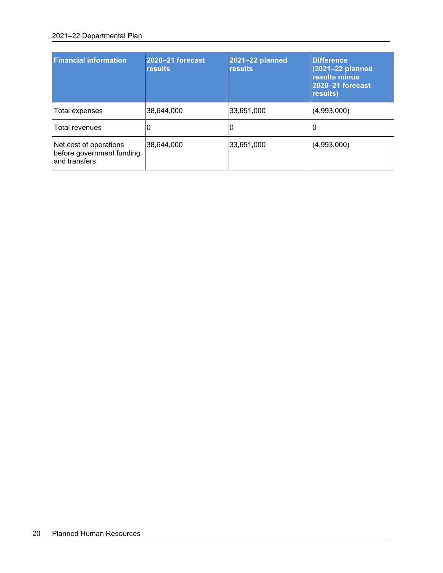#### 2021–22 Departmental Plan

| <b>Financial information</b>                                         | 2020-21 forecast<br><b>results</b> | 2021-22 planned<br><b>results</b> | <b>Difference</b><br>(2021-22 planned<br>results minus<br>2020-21 forecast<br>results) |
|----------------------------------------------------------------------|------------------------------------|-----------------------------------|----------------------------------------------------------------------------------------|
| Total expenses                                                       | 38,644,000                         | 33,651,000                        | (4,993,000)                                                                            |
| Total revenues                                                       | 0                                  | O                                 |                                                                                        |
| Net cost of operations<br>before government funding<br>and transfers | 38.644.000                         | 33,651,000                        | (4,993,000)                                                                            |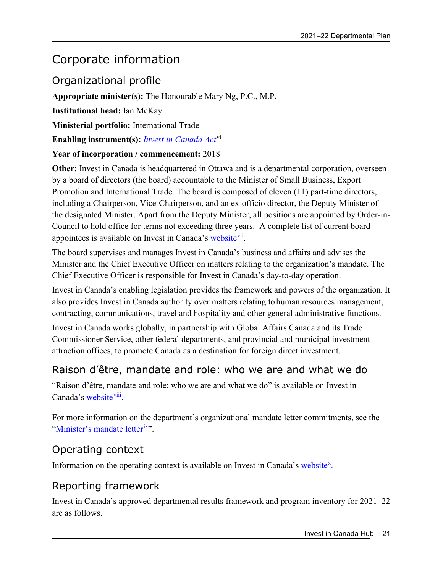## <span id="page-24-0"></span>Corporate information

### <span id="page-24-1"></span>Organizational profile

**Appropriate minister(s):** The Honourable Mary Ng, P.C., M.P.

**Institutional head:** Ian McKay

**Ministerial portfolio:** International Trade

**Enabling instrument(s):** *[Invest in Canada Act](https://laws-lois.justice.gc.ca/eng/acts/I-21.5/page-1.html)*[vi](#page-32-6)

### **Year of incorporation / commencement:** 2018

**Other:** Invest in Canada is headquartered in Ottawa and is a departmental corporation, overseen by a board of directors (the board) accountable to the Minister of Small Business, Export Promotion and International Trade. The board is composed of eleven (11) part-time directors, including a Chairperson, Vice-Chairperson, and an ex-officio director, the Deputy Minister of the designated Minister. Apart from the Deputy Minister, all positions are appointed by Order-in-Council to hold office for terms not exceeding three years. A complete list of current board appointees is available on Invest in Canada's [website](https://www.investcanada.ca/board-directors)<sup>vii</sup>.

The board supervises and manages Invest in Canada's business and affairs and advises the Minister and the Chief Executive Officer on matters relating to the organization's mandate. The Chief Executive Officer is responsible for Invest in Canada's day-to-day operation.

Invest in Canada's enabling legislation provides the framework and powers of the organization. It also provides Invest in Canada authority over matters relating to human resources management, contracting, communications, travel and hospitality and other general administrative functions.

Invest in Canada works globally, in partnership with Global Affairs Canada and its Trade Commissioner Service, other federal departments, and provincial and municipal investment attraction offices, to promote Canada as a destination for foreign direct investment.

### <span id="page-24-2"></span>Raison d'être, mandate and role: who we are and what we do

"Raison d'être, mandate and role: who we are and what we do" is available on Invest in Canada's [website](http://www.investcanada.ca/)<sup>viii</sup>.

For more information on the department's organizational mandate letter commitments, see the ["Minister's mandate letter](https://pm.gc.ca/en/mandate-letters/2021/01/15/minister-small-business-export-promotion-and-international-trade)<sup>[ix"](#page-32-9)</sup>.

### <span id="page-24-3"></span>Operating context

Information on the operating context is available on Invest in Canada's [website](http://www.investcanada.ca/)[x](#page-32-10).

### <span id="page-24-4"></span>Reporting framework

Invest in Canada's approved departmental results framework and program inventory for 2021–22 are as follows.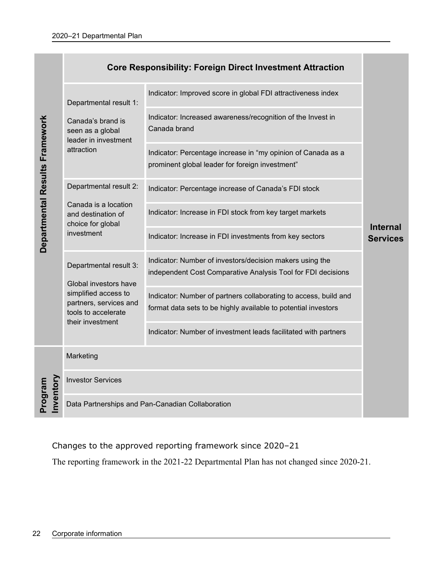|                                |                                                                       | Indicator: Improved score in global FDI attractiveness index                                                                       |                                                                                                                                                                                                                                                                                                       |
|--------------------------------|-----------------------------------------------------------------------|------------------------------------------------------------------------------------------------------------------------------------|-------------------------------------------------------------------------------------------------------------------------------------------------------------------------------------------------------------------------------------------------------------------------------------------------------|
|                                | Canada's brand is<br>seen as a global                                 | Indicator: Increased awareness/recognition of the Invest in<br>Canada brand                                                        |                                                                                                                                                                                                                                                                                                       |
|                                | attraction                                                            | Indicator: Percentage increase in "my opinion of Canada as a<br>prominent global leader for foreign investment"                    |                                                                                                                                                                                                                                                                                                       |
|                                | Departmental result 2:                                                | Indicator: Percentage increase of Canada's FDI stock                                                                               |                                                                                                                                                                                                                                                                                                       |
|                                | Canada is a location<br>and destination of                            | Indicator: Increase in FDI stock from key target markets                                                                           |                                                                                                                                                                                                                                                                                                       |
| Departmental Results Framework | investment                                                            | Indicator: Increase in FDI investments from key sectors                                                                            | <b>Internal</b><br><b>Services</b>                                                                                                                                                                                                                                                                    |
|                                | Departmental result 3:                                                | Indicator: Number of investors/decision makers using the<br>independent Cost Comparative Analysis Tool for FDI decisions           |                                                                                                                                                                                                                                                                                                       |
|                                | simplified access to<br>partners, services and<br>tools to accelerate | Indicator: Number of partners collaborating to access, build and<br>format data sets to be highly available to potential investors |                                                                                                                                                                                                                                                                                                       |
|                                |                                                                       | Indicator: Number of investment leads facilitated with partners                                                                    |                                                                                                                                                                                                                                                                                                       |
|                                | Marketing                                                             |                                                                                                                                    |                                                                                                                                                                                                                                                                                                       |
|                                | <b>Investor Services</b>                                              |                                                                                                                                    |                                                                                                                                                                                                                                                                                                       |
|                                |                                                                       |                                                                                                                                    |                                                                                                                                                                                                                                                                                                       |
|                                |                                                                       |                                                                                                                                    |                                                                                                                                                                                                                                                                                                       |
|                                |                                                                       |                                                                                                                                    |                                                                                                                                                                                                                                                                                                       |
|                                |                                                                       |                                                                                                                                    |                                                                                                                                                                                                                                                                                                       |
|                                |                                                                       |                                                                                                                                    |                                                                                                                                                                                                                                                                                                       |
|                                |                                                                       |                                                                                                                                    |                                                                                                                                                                                                                                                                                                       |
|                                |                                                                       |                                                                                                                                    |                                                                                                                                                                                                                                                                                                       |
| Program                        | nvento                                                                | Departmental result 1:<br>leader in investment<br>choice for global<br>Global investors have<br>their investment                   | <b>Core Responsibility: Foreign Direct Investment Attraction</b><br>Data Partnerships and Pan-Canadian Collaboration<br>Changes to the approved reporting framework since 2020-21<br>The reporting framework in the 2021-22 Departmental Plan has not changed since 2020-21.<br>Corporate information |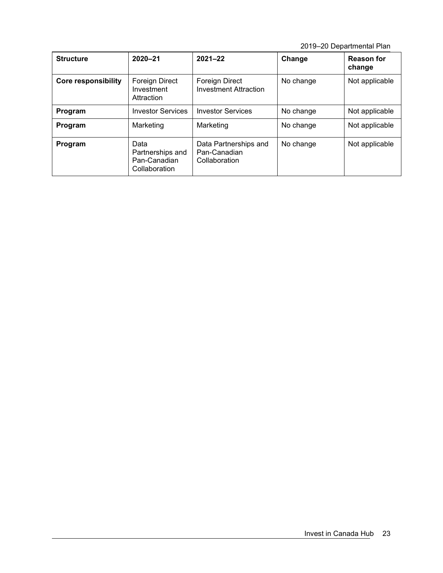2019–20 Departmental Plan

| <b>Structure</b>           | $2020 - 21$                                               | $2021 - 22$                                            | Change    | <b>Reason for</b><br>change |
|----------------------------|-----------------------------------------------------------|--------------------------------------------------------|-----------|-----------------------------|
| <b>Core responsibility</b> | Foreign Direct<br>Investment<br>Attraction                | Foreign Direct<br><b>Investment Attraction</b>         | No change | Not applicable              |
| Program                    | <b>Investor Services</b>                                  | <b>Investor Services</b>                               | No change | Not applicable              |
| Program                    | Marketing                                                 | Marketing                                              | No change | Not applicable              |
| Program                    | Data<br>Partnerships and<br>Pan-Canadian<br>Collaboration | Data Partnerships and<br>Pan-Canadian<br>Collaboration | No change | Not applicable              |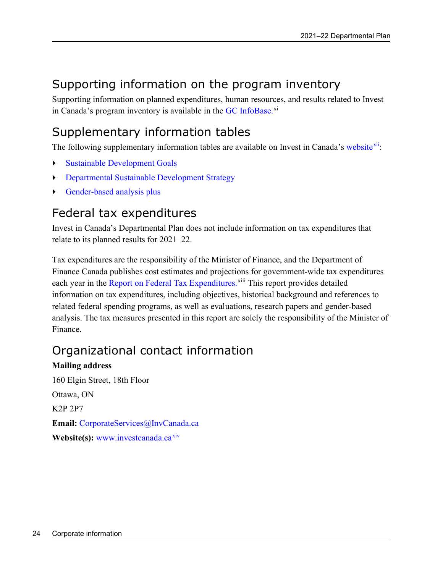## <span id="page-27-0"></span>Supporting information on the program inventory

Supporting information on planned expenditures, human resources, and results related to Invest in Canada's program inventory is available in the GC [InfoBase.](https://www.tbs-sct.gc.ca/ems-sgd/edb-bdd/index-eng.html)<sup>[xi](#page-32-11)</sup>

## <span id="page-27-1"></span>Supplementary information tables

The following supplementary information tables are available on Invest in Canada's [website](https://www.investcanada.ca/2018-19-departmental-plan/supplimentary-tables)<sup>xii</sup>:

- Sustainable Development Goals
- Departmental Sustainable Development Strategy
- Gender-based analysis plus

### <span id="page-27-2"></span>Federal tax expenditures

Invest in Canada's Departmental Plan does not include information on tax expenditures that relate to its planned results for 2021–22.

Tax expenditures are the responsibility of the Minister of Finance, and the Department of Finance Canada publishes cost estimates and projections for government-wide tax expenditures each year in the [Report on Federal Tax Expenditures.](https://www.canada.ca/en/department-finance/services/publications/federal-tax-expenditures.html) Xiii This report provides detailed information on tax expenditures, including objectives, historical background and references to related federal spending programs, as well as evaluations, research papers and gender-based analysis. The tax measures presented in this report are solely the responsibility of the Minister of Finance.

## <span id="page-27-3"></span>Organizational contact information

### **Mailing address**

160 Elgin Street, 18th Floor Ottawa, ON K2P 2P7 **Email:** [CorporateServices@InvCanada.ca](mailto:CorporateServices@InvCanada.ca) Website(s): [www.investcanada.ca](http://www.investcanada.ca/)<sup>[xiv](#page-32-14)</sup>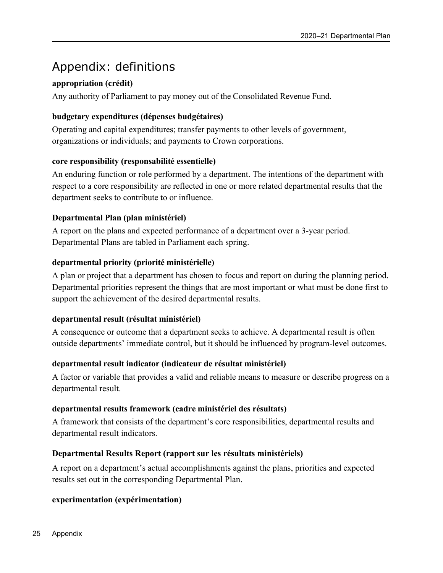## <span id="page-28-0"></span>Appendix: definitions

### **appropriation (crédit)**

Any authority of Parliament to pay money out of the Consolidated Revenue Fund.

### **budgetary expenditures (dépenses budgétaires)**

Operating and capital expenditures; transfer payments to other levels of government, organizations or individuals; and payments to Crown corporations.

### **core responsibility (responsabilité essentielle)**

An enduring function or role performed by a department. The intentions of the department with respect to a core responsibility are reflected in one or more related departmental results that the department seeks to contribute to or influence.

### **Departmental Plan (plan ministériel)**

A report on the plans and expected performance of a department over a 3-year period. Departmental Plans are tabled in Parliament each spring.

### **departmental priority (priorité ministérielle)**

A plan or project that a department has chosen to focus and report on during the planning period. Departmental priorities represent the things that are most important or what must be done first to support the achievement of the desired departmental results.

### **departmental result (résultat ministériel)**

A consequence or outcome that a department seeks to achieve. A departmental result is often outside departments' immediate control, but it should be influenced by program-level outcomes.

### **departmental result indicator (indicateur de résultat ministériel)**

A factor or variable that provides a valid and reliable means to measure or describe progress on a departmental result.

### **departmental results framework (cadre ministériel des résultats)**

A framework that consists of the department's core responsibilities, departmental results and departmental result indicators.

### **Departmental Results Report (rapport sur les résultats ministériels)**

A report on a department's actual accomplishments against the plans, priorities and expected results set out in the corresponding Departmental Plan.

### **experimentation (expérimentation)**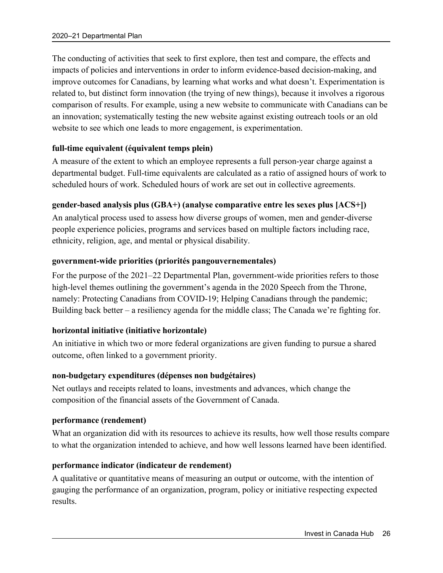The conducting of activities that seek to first explore, then test and compare, the effects and impacts of policies and interventions in order to inform evidence-based decision-making, and improve outcomes for Canadians, by learning what works and what doesn't. Experimentation is related to, but distinct form innovation (the trying of new things), because it involves a rigorous comparison of results. For example, using a new website to communicate with Canadians can be an innovation; systematically testing the new website against existing outreach tools or an old website to see which one leads to more engagement, is experimentation.

#### **full-time equivalent (équivalent temps plein)**

A measure of the extent to which an employee represents a full person-year charge against a departmental budget. Full-time equivalents are calculated as a ratio of assigned hours of work to scheduled hours of work. Scheduled hours of work are set out in collective agreements.

### **gender-based analysis plus (GBA+) (analyse comparative entre les sexes plus [ACS+])**

An analytical process used to assess how diverse groups of women, men and gender-diverse people experience policies, programs and services based on multiple factors including race, ethnicity, religion, age, and mental or physical disability.

#### **government-wide priorities (priorités pangouvernementales)**

For the purpose of the 2021–22 Departmental Plan, government-wide priorities refers to those high-level themes outlining the government's agenda in the 2020 Speech from the Throne, namely: Protecting Canadians from COVID-19; Helping Canadians through the pandemic; Building back better – a resiliency agenda for the middle class; The Canada we're fighting for.

### **horizontal initiative (initiative horizontale)**

An initiative in which two or more federal organizations are given funding to pursue a shared outcome, often linked to a government priority.

#### **non-budgetary expenditures (dépenses non budgétaires)**

Net outlays and receipts related to loans, investments and advances, which change the composition of the financial assets of the Government of Canada.

#### **performance (rendement)**

What an organization did with its resources to achieve its results, how well those results compare to what the organization intended to achieve, and how well lessons learned have been identified.

#### **performance indicator (indicateur de rendement)**

A qualitative or quantitative means of measuring an output or outcome, with the intention of gauging the performance of an organization, program, policy or initiative respecting expected results.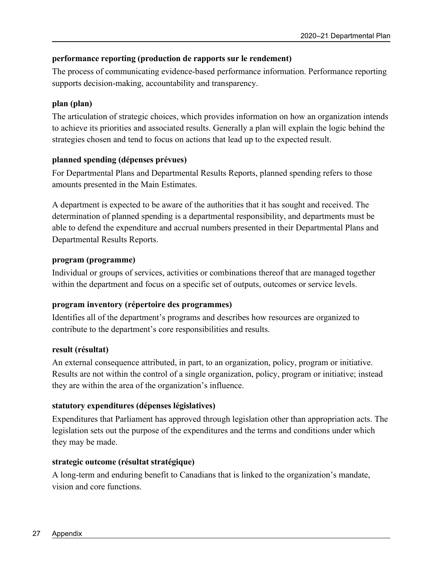### **performance reporting (production de rapports sur le rendement)**

The process of communicating evidence-based performance information. Performance reporting supports decision-making, accountability and transparency.

### **plan (plan)**

The articulation of strategic choices, which provides information on how an organization intends to achieve its priorities and associated results. Generally a plan will explain the logic behind the strategies chosen and tend to focus on actions that lead up to the expected result.

### **planned spending (dépenses prévues)**

For Departmental Plans and Departmental Results Reports, planned spending refers to those amounts presented in the Main Estimates.

A department is expected to be aware of the authorities that it has sought and received. The determination of planned spending is a departmental responsibility, and departments must be able to defend the expenditure and accrual numbers presented in their Departmental Plans and Departmental Results Reports.

### **program (programme)**

Individual or groups of services, activities or combinations thereof that are managed together within the department and focus on a specific set of outputs, outcomes or service levels.

### **program inventory (répertoire des programmes)**

Identifies all of the department's programs and describes how resources are organized to contribute to the department's core responsibilities and results.

### **result (résultat)**

An external consequence attributed, in part, to an organization, policy, program or initiative. Results are not within the control of a single organization, policy, program or initiative; instead they are within the area of the organization's influence.

### **statutory expenditures (dépenses législatives)**

Expenditures that Parliament has approved through legislation other than appropriation acts. The legislation sets out the purpose of the expenditures and the terms and conditions under which they may be made.

### **strategic outcome (résultat stratégique)**

A long-term and enduring benefit to Canadians that is linked to the organization's mandate, vision and core functions.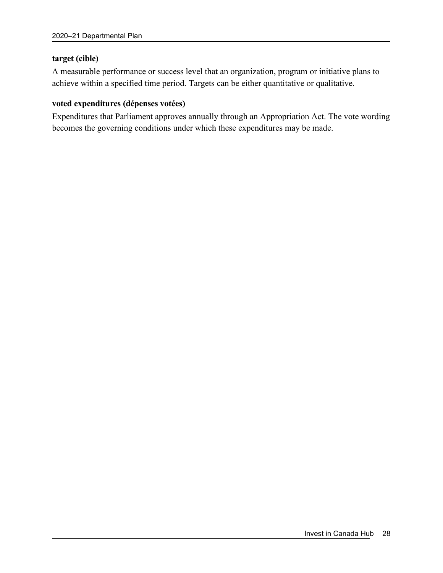#### **target (cible)**

A measurable performance or success level that an organization, program or initiative plans to achieve within a specified time period. Targets can be either quantitative or qualitative.

#### **voted expenditures (dépenses votées)**

Expenditures that Parliament approves annually through an Appropriation Act. The vote wording becomes the governing conditions under which these expenditures may be made.